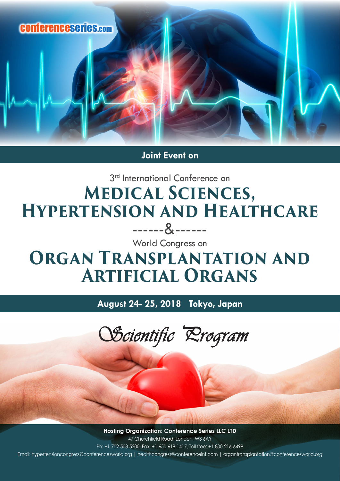

**Joint Event on**

## 3<sup>rd</sup> International Conference on **Medical Sciences, Hypertension and Healthcare** ------&------

World Congress on

## **ORGAN TRANSPLANTATION AND Artificial Organs**

**August 24- 25, 2018 Tokyo, Japan**



**Hosting Organization: Conference Series LLC LTD** 47 Churchfield Road, London, W3 6AY Ph: +1-702-508-5200, Fax: +1-650-618-1417, Toll free: +1-800-216-6499 Email: hypertensioncongress@conferencesworld.org | healthcongress@conferenceint.com | organtransplantation@conferencesworld.org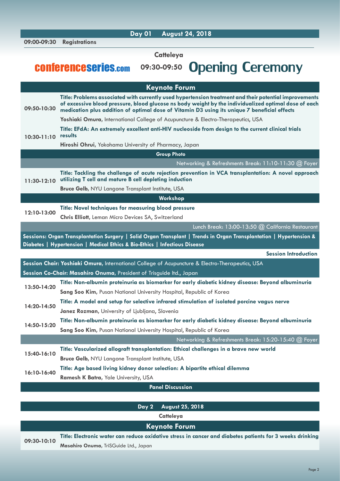| 09:00-09:30                                                                                                                                                                                       | <b>Registrations</b>                                                                                                                                                                                                                                                                                           |  |
|---------------------------------------------------------------------------------------------------------------------------------------------------------------------------------------------------|----------------------------------------------------------------------------------------------------------------------------------------------------------------------------------------------------------------------------------------------------------------------------------------------------------------|--|
|                                                                                                                                                                                                   | <b>Catteleya</b>                                                                                                                                                                                                                                                                                               |  |
|                                                                                                                                                                                                   |                                                                                                                                                                                                                                                                                                                |  |
|                                                                                                                                                                                                   | <b>Opening Ceremony</b><br><b>CONFETENCESETIES.com</b><br>09:30-09:50                                                                                                                                                                                                                                          |  |
|                                                                                                                                                                                                   |                                                                                                                                                                                                                                                                                                                |  |
| <b>Keynote Forum</b>                                                                                                                                                                              |                                                                                                                                                                                                                                                                                                                |  |
| 09:50-10:30                                                                                                                                                                                       | Title: Problems associated with currently used hypertension treatment and their potential improvements<br>of excessive blood pressure, blood glucose ns body weight by the individualized optimal dose of each<br>medication plus addition of optimal dose of Vitamin D3 using its unique 7 beneficial effects |  |
|                                                                                                                                                                                                   | Yoshiaki Omura, International College of Acupuncture & Electro-Therapeutics, USA                                                                                                                                                                                                                               |  |
| $10:30 - 11:10$                                                                                                                                                                                   | Title: EFdA: An extremely excellent anti-HIV nucleoside from design to the current clinical trials<br>results                                                                                                                                                                                                  |  |
|                                                                                                                                                                                                   | Hiroshi Ohrui, Yokohama University of Pharmacy, Japan                                                                                                                                                                                                                                                          |  |
|                                                                                                                                                                                                   | <b>Group Photo</b>                                                                                                                                                                                                                                                                                             |  |
|                                                                                                                                                                                                   | Networking & Refreshments Break: 11:10-11:30 @ Foyer                                                                                                                                                                                                                                                           |  |
| 11:30-12:10                                                                                                                                                                                       | Title: Tackling the challenge of acute rejection prevention in VCA transplantation: A novel approach<br>utilizing T cell and mature B cell depleting induction                                                                                                                                                 |  |
|                                                                                                                                                                                                   | <b>Bruce Gelb, NYU Langone Transplant Institute, USA</b>                                                                                                                                                                                                                                                       |  |
| Workshop                                                                                                                                                                                          |                                                                                                                                                                                                                                                                                                                |  |
| 12:10-13:00                                                                                                                                                                                       | Title: Novel techniques for measuring blood pressure                                                                                                                                                                                                                                                           |  |
|                                                                                                                                                                                                   | <b>Chris Elliott, Leman Micro Devices SA, Switzerland</b>                                                                                                                                                                                                                                                      |  |
|                                                                                                                                                                                                   | Lunch Break: 13:00-13:50 @ California Restaurant                                                                                                                                                                                                                                                               |  |
| Sessions: Organ Transplantation Surgery   Solid Organ Transplant   Trends in Organ Transplantation   Hypertension &<br>Diabetes   Hypertension   Medical Ethics & Bio-Ethics   Infectious Disease |                                                                                                                                                                                                                                                                                                                |  |
|                                                                                                                                                                                                   | <b>Session Introduction</b>                                                                                                                                                                                                                                                                                    |  |
|                                                                                                                                                                                                   | Session Chair: Yoshiaki Omura, International College of Acupuncture & Electro-Therapeutics, USA                                                                                                                                                                                                                |  |
| Session Co-Chair: Masahiro Onuma, President of Trisguide Itd., Japan                                                                                                                              |                                                                                                                                                                                                                                                                                                                |  |
| 13:50-14:20                                                                                                                                                                                       | Title: Non-albumin proteinuria as biomarker for early diabetic kidney disease: Beyond albuminuria                                                                                                                                                                                                              |  |
|                                                                                                                                                                                                   | Sang Soo Kim, Pusan National University Hospital, Republic of Korea                                                                                                                                                                                                                                            |  |
|                                                                                                                                                                                                   | Title: A model and setup for selective infrared stimulation of isolated porcine vagus nerve                                                                                                                                                                                                                    |  |
| 14:20-14:50                                                                                                                                                                                       | Janez Rozman, University of Ljubljana, Slovenia                                                                                                                                                                                                                                                                |  |
| 14:50-15:20                                                                                                                                                                                       | Title: Non-albumin proteinuria as biomarker for early diabetic kidney disease: Beyond albuminuria                                                                                                                                                                                                              |  |
|                                                                                                                                                                                                   | Sang Soo Kim, Pusan National University Hospital, Republic of Korea                                                                                                                                                                                                                                            |  |
|                                                                                                                                                                                                   | Networking & Refreshments Break: 15:20-15:40 @ Foyer                                                                                                                                                                                                                                                           |  |
| 15:40-16:10                                                                                                                                                                                       | Title: Vascularized allograft transplantation: Ethical challenges in a brave new world                                                                                                                                                                                                                         |  |
|                                                                                                                                                                                                   | Bruce Gelb, NYU Langone Transplant Institute, USA                                                                                                                                                                                                                                                              |  |
| 16:10-16:40                                                                                                                                                                                       | Title: Age based living kidney donor selection: A bipartite ethical dilemma                                                                                                                                                                                                                                    |  |
|                                                                                                                                                                                                   | Ramesh K Batra, Yale University, USA                                                                                                                                                                                                                                                                           |  |
|                                                                                                                                                                                                   | <b>Panel Discussion</b>                                                                                                                                                                                                                                                                                        |  |
|                                                                                                                                                                                                   |                                                                                                                                                                                                                                                                                                                |  |
| <b>August 25, 2018</b><br>Day 2                                                                                                                                                                   |                                                                                                                                                                                                                                                                                                                |  |
| Catteleya                                                                                                                                                                                         |                                                                                                                                                                                                                                                                                                                |  |
| <b>Keynote Forum</b>                                                                                                                                                                              |                                                                                                                                                                                                                                                                                                                |  |

 **Day 01 August 24, 2018**

**09:30-10:10 Title: Electronic water can reduce oxidative stress in cancer and diabetes patients for 3 weeks drinking Masahiro Onuma,** TriSGuide Ltd., Japan